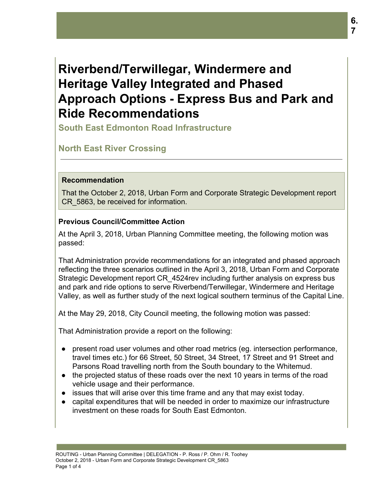# **Riverbend/Terwillegar, Windermere and Heritage Valley Integrated and Phased Approach Options - Express Bus and Park and Ride Recommendations**

**South East Edmonton Road Infrastructure**

# **North East River Crossing**

#### **Recommendation**

That the October 2, 2018, Urban Form and Corporate Strategic Development report CR\_5863, be received for information.

#### **Previous Council/Committee Action**

At the April 3, 2018, Urban Planning Committee meeting, the following motion was passed:

That Administration provide recommendations for an integrated and phased approach reflecting the three scenarios outlined in the April 3, 2018, Urban Form and Corporate Strategic Development report CR\_4524rev including further analysis on express bus and park and ride options to serve Riverbend/Terwillegar, Windermere and Heritage Valley, as well as further study of the next logical southern terminus of the Capital Line.

At the May 29, 2018, City Council meeting, the following motion was passed:

That Administration provide a report on the following:

- present road user volumes and other road metrics (eg. intersection performance, travel times etc.) for 66 Street, 50 Street, 34 Street, 17 Street and 91 Street and Parsons Road travelling north from the South boundary to the Whitemud.
- the projected status of these roads over the next 10 years in terms of the road vehicle usage and their performance.
- issues that will arise over this time frame and any that may exist today.
- capital expenditures that will be needed in order to maximize our infrastructure investment on these roads for South East Edmonton.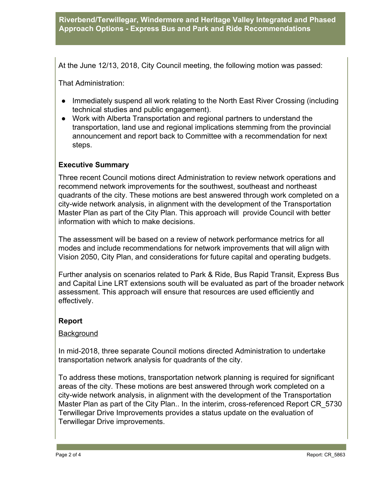## **Riverbend/Terwillegar, Windermere and Heritage Valley Integrated and Phased Approach Options - Express Bus and Park and Ride Recommendations**

At the June 12/13, 2018, City Council meeting, the following motion was passed:

That Administration:

- Immediately suspend all work relating to the North East River Crossing (including technical studies and public engagement).
- Work with Alberta Transportation and regional partners to understand the transportation, land use and regional implications stemming from the provincial announcement and report back to Committee with a recommendation for next steps.

#### **Executive Summary**

Three recent Council motions direct Administration to review network operations and recommend network improvements for the southwest, southeast and northeast quadrants of the city. These motions are best answered through work completed on a city-wide network analysis, in alignment with the development of the Transportation Master Plan as part of the City Plan. This approach will provide Council with better information with which to make decisions.

The assessment will be based on a review of network performance metrics for all modes and include recommendations for network improvements that will align with Vision 2050, City Plan, and considerations for future capital and operating budgets.

Further analysis on scenarios related to Park & Ride, Bus Rapid Transit, Express Bus and Capital Line LRT extensions south will be evaluated as part of the broader network assessment. This approach will ensure that resources are used efficiently and effectively.

#### **Report**

#### **Background**

In mid-2018, three separate Council motions directed Administration to undertake transportation network analysis for quadrants of the city.

To address these motions, transportation network planning is required for significant areas of the city. These motions are best answered through work completed on a city-wide network analysis, in alignment with the development of the Transportation Master Plan as part of the City Plan.. In the interim, cross-referenced Report CR\_5730 Terwillegar Drive Improvements provides a status update on the evaluation of Terwillegar Drive improvements.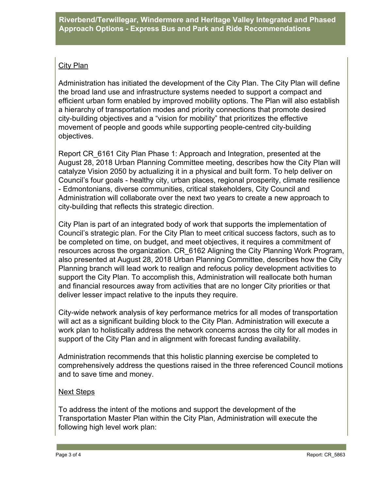# City Plan

Administration has initiated the development of the City Plan. The City Plan will define the broad land use and infrastructure systems needed to support a compact and efficient urban form enabled by improved mobility options. The Plan will also establish a hierarchy of transportation modes and priority connections that promote desired city-building objectives and a "vision for mobility" that prioritizes the effective movement of people and goods while supporting people-centred city-building objectives.

Report CR\_6161 City Plan Phase 1: Approach and Integration, presented at the August 28, 2018 Urban Planning Committee meeting, describes how the City Plan will catalyze Vision 2050 by actualizing it in a physical and built form. To help deliver on Council's four goals - healthy city, urban places, regional prosperity, climate resilience - Edmontonians, diverse communities, critical stakeholders, City Council and Administration will collaborate over the next two years to create a new approach to city-building that reflects this strategic direction.

City Plan is part of an integrated body of work that supports the implementation of Council's strategic plan. For the City Plan to meet critical success factors, such as to be completed on time, on budget, and meet objectives, it requires a commitment of resources across the organization. CR\_6162 Aligning the City Planning Work Program, also presented at August 28, 2018 Urban Planning Committee, describes how the City Planning branch will lead work to realign and refocus policy development activities to support the City Plan. To accomplish this, Administration will reallocate both human and financial resources away from activities that are no longer City priorities or that deliver lesser impact relative to the inputs they require.

City-wide network analysis of key performance metrics for all modes of transportation will act as a significant building block to the City Plan. Administration will execute a work plan to holistically address the network concerns across the city for all modes in support of the City Plan and in alignment with forecast funding availability.

Administration recommends that this holistic planning exercise be completed to comprehensively address the questions raised in the three referenced Council motions and to save time and money.

# Next Steps

To address the intent of the motions and support the development of the Transportation Master Plan within the City Plan, Administration will execute the following high level work plan: